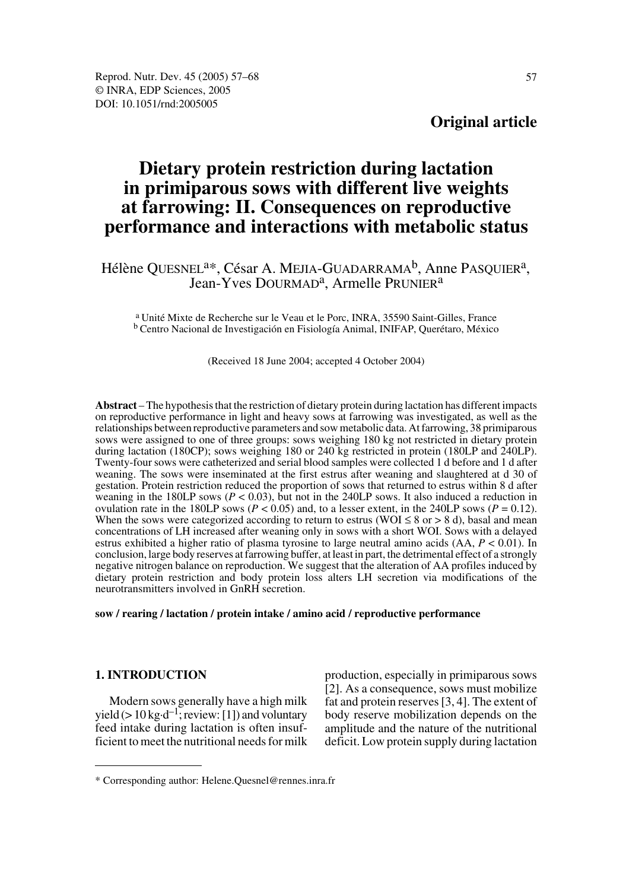## **Original article**

# **Dietary protein restriction during lactation in primiparous sows with different live weights at farrowing: II. Consequences on reproductive performance and interactions with metabolic status**

Hélène QUESNEL<sup>a\*</sup>, César A. MEJIA-GUADARRAMA<sup>b</sup>, Anne PASQUIER<sup>a</sup>, Jean-Yves DOURMAD<sup>a</sup>, Armelle PRUNIER<sup>a</sup>

a Unité Mixte de Recherche sur le Veau et le Porc, INRA, 35590 Saint-Gilles, France b Centro Nacional de Investigación en Fisiología Animal, INIFAP, Querétaro, México

#### (Received 18 June 2004; accepted 4 October 2004)

**Abstract** – The hypothesis that the restriction of dietary protein during lactation has different impacts on reproductive performance in light and heavy sows at farrowing was investigated, as well as the relationships between reproductive parameters and sow metabolic data. At farrowing, 38 primiparous sows were assigned to one of three groups: sows weighing 180 kg not restricted in dietary protein during lactation (180CP); sows weighing 180 or 240 kg restricted in protein (180LP and 240LP). Twenty-four sows were catheterized and serial blood samples were collected 1 d before and 1 d after weaning. The sows were inseminated at the first estrus after weaning and slaughtered at d 30 of gestation. Protein restriction reduced the proportion of sows that returned to estrus within 8 d after weaning in the 180LP sows  $(P < 0.03)$ , but not in the 240LP sows. It also induced a reduction in ovulation rate in the 180LP sows ( $P < 0.05$ ) and, to a lesser extent, in the 240LP sows ( $P = 0.12$ ). When the sows were categorized according to return to estrus (WOI  $\leq 8$  or  $> 8$  d), basal and mean concentrations of LH increased after weaning only in sows with a short WOI. Sows with a delayed estrus exhibited a higher ratio of plasma tyrosine to large neutral amino acids (AA, *P* < 0.01). In conclusion, large body reserves at farrowing buffer, at least in part, the detrimental effect of a strongly negative nitrogen balance on reproduction. We suggest that the alteration of AA profiles induced by dietary protein restriction and body protein loss alters LH secretion via modifications of the neurotransmitters involved in GnRH secretion.

**sow / rearing / lactation / protein intake / amino acid / reproductive performance** 

## **1. INTRODUCTION**

Modern sows generally have a high milk yield ( $> 10 \text{ kg} \cdot d^{-1}$ ; review: [1]) and voluntary feed intake during lactation is often insufficient to meet the nutritional needs for milk production, especially in primiparous sows [2]. As a consequence, sows must mobilize fat and protein reserves [3, 4]. The extent of body reserve mobilization depends on the amplitude and the nature of the nutritional deficit. Low protein supply during lactation

<sup>\*</sup> Corresponding author: Helene.Quesnel@rennes.inra.fr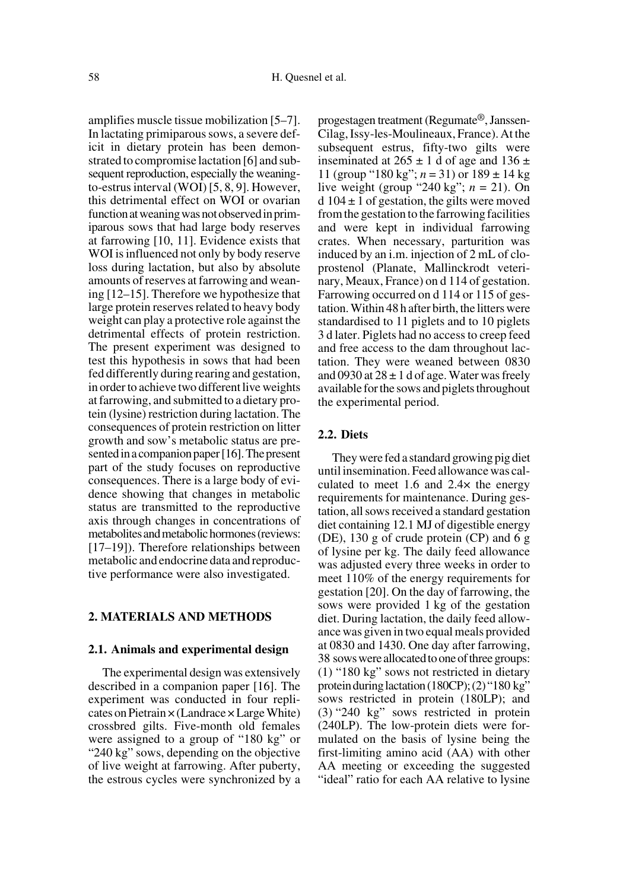amplifies muscle tissue mobilization [5–7]. In lactating primiparous sows, a severe deficit in dietary protein has been demonstrated to compromise lactation [6] and subsequent reproduction, especially the weaningto-estrus interval (WOI) [5, 8, 9]. However, this detrimental effect on WOI or ovarian function at weaning was not observed in primiparous sows that had large body reserves at farrowing [10, 11]. Evidence exists that WOI is influenced not only by body reserve loss during lactation, but also by absolute amounts of reserves at farrowing and weaning [12–15]. Therefore we hypothesize that large protein reserves related to heavy body weight can play a protective role against the detrimental effects of protein restriction. The present experiment was designed to test this hypothesis in sows that had been fed differently during rearing and gestation, in order to achieve two different live weights at farrowing, and submitted to a dietary protein (lysine) restriction during lactation. The consequences of protein restriction on litter growth and sow's metabolic status are presented in a companion paper [16]. The present part of the study focuses on reproductive consequences. There is a large body of evidence showing that changes in metabolic status are transmitted to the reproductive axis through changes in concentrations of metabolites and metabolic hormones (reviews: [17–19]). Therefore relationships between metabolic and endocrine data and reproductive performance were also investigated.

## **2. MATERIALS AND METHODS**

#### **2.1. Animals and experimental design**

The experimental design was extensively described in a companion paper [16]. The experiment was conducted in four replicates on Pietrain  $\times$  (Landrace  $\times$  Large White) crossbred gilts. Five-month old females were assigned to a group of "180 kg" or "240 kg" sows, depending on the objective of live weight at farrowing. After puberty, the estrous cycles were synchronized by a progestagen treatment (Regumate®, Janssen-Cilag, Issy-les-Moulineaux, France). At the subsequent estrus, fifty-two gilts were inseminated at  $265 \pm 1$  d of age and  $136 \pm 1$ 11 (group "180 kg";  $n = 31$ ) or  $189 \pm 14$  kg live weight (group "240 kg"; *n* = 21). On  $d 104 \pm 1$  of gestation, the gilts were moved from the gestation to the farrowing facilities and were kept in individual farrowing crates. When necessary, parturition was induced by an i.m. injection of 2 mL of cloprostenol (Planate, Mallinckrodt veterinary, Meaux, France) on d 114 of gestation. Farrowing occurred on d 114 or 115 of gestation. Within 48 h after birth, the litters were standardised to 11 piglets and to 10 piglets 3 d later. Piglets had no access to creep feed and free access to the dam throughout lactation. They were weaned between 0830 and 0930 at  $28 \pm 1$  d of age. Water was freely available for the sows and piglets throughout the experimental period.

## **2.2. Diets**

They were fed a standard growing pig diet until insemination. Feed allowance was calculated to meet 1.6 and 2.4× the energy requirements for maintenance. During gestation, all sows received a standard gestation diet containing 12.1 MJ of digestible energy (DE), 130 g of crude protein (CP) and 6 g of lysine per kg. The daily feed allowance was adjusted every three weeks in order to meet 110% of the energy requirements for gestation [20]. On the day of farrowing, the sows were provided 1 kg of the gestation diet. During lactation, the daily feed allowance was given in two equal meals provided at 0830 and 1430. One day after farrowing, 38 sows were allocated to one of three groups: (1) "180 kg" sows not restricted in dietary protein during lactation (180CP); (2) "180 kg" sows restricted in protein (180LP); and (3) "240 kg" sows restricted in protein (240LP). The low-protein diets were formulated on the basis of lysine being the first-limiting amino acid (AA) with other AA meeting or exceeding the suggested "ideal" ratio for each AA relative to lysine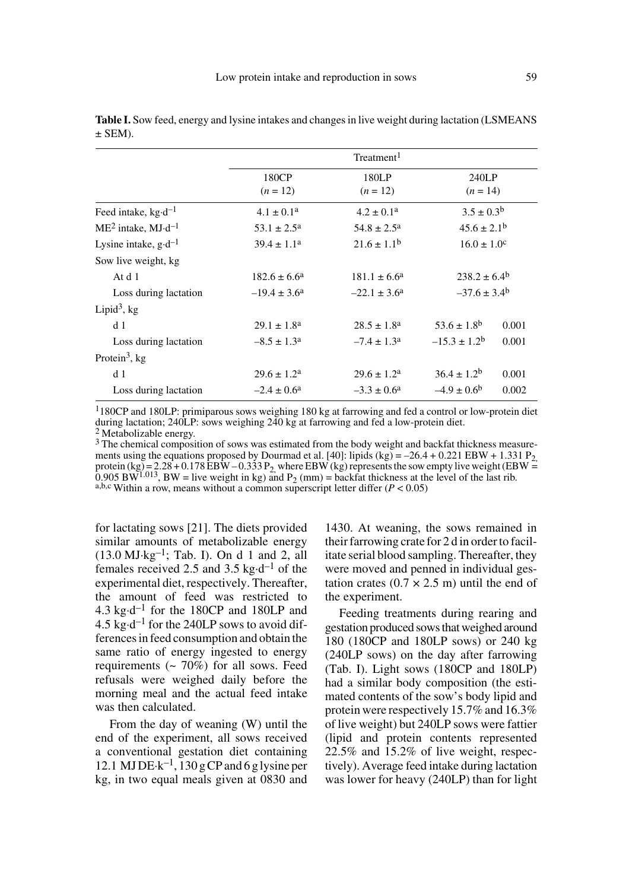|                                  |                           | Treatment <sup>1</sup>  |                         |       |
|----------------------------------|---------------------------|-------------------------|-------------------------|-------|
|                                  | 180CP<br>$(n = 12)$       | 180LP<br>$(n = 12)$     | 240LP<br>$(n = 14)$     |       |
| Feed intake, $kg \cdot d^{-1}$   | $4.1 \pm 0.1^a$           | $4.2 \pm 0.1^a$         | $3.5 \pm 0.3^b$         |       |
| $ME2$ intake, MJ·d <sup>-1</sup> | $53.1 \pm 2.5^{\rm a}$    | $54.8 \pm 2.5^{\rm a}$  | $45.6 \pm 2.1^{\rm b}$  |       |
| Lysine intake, $g \cdot d^{-1}$  | $39.4 \pm 1.1^a$          | $21.6 \pm 1.1^{\rm b}$  | $16.0 \pm 1.0^{\circ}$  |       |
| Sow live weight, kg              |                           |                         |                         |       |
| At d 1                           | $182.6 \pm 6.6^a$         | $181.1 \pm 6.6^a$       | $238.2 \pm 6.4^{\circ}$ |       |
| Loss during lactation            | $-19.4 \pm 3.6^{\circ}$   | $-22.1 \pm 3.6^{\circ}$ | $-37.6 \pm 3.4^{\circ}$ |       |
| Lipid <sup>3</sup> , $kg$        |                           |                         |                         |       |
| d 1                              | $29.1 \pm 1.8^{\text{a}}$ | $28.5 \pm 1.8^{\rm a}$  | $53.6 \pm 1.8^{\rm b}$  | 0.001 |
| Loss during lactation            | $-8.5 \pm 1.3^{\circ}$    | $-7.4 \pm 1.3^{\circ}$  | $-15.3 \pm 1.2^{\rm b}$ | 0.001 |
| Protein <sup>3</sup> , $kg$      |                           |                         |                         |       |
| d 1                              | $29.6 \pm 1.2^{\text{a}}$ | $29.6 \pm 1.2^a$        | $36.4 \pm 1.2^b$        | 0.001 |
| Loss during lactation            | $-2.4 \pm 0.6^{\circ}$    | $-3.3 \pm 0.6^{\circ}$  | $-4.9 \pm 0.6^{\circ}$  | 0.002 |

**Table I.** Sow feed, energy and lysine intakes and changes in live weight during lactation (LSMEANS  $\pm$  SEM).

1180CP and 180LP: primiparous sows weighing 180 kg at farrowing and fed a control or low-protein diet during lactation; 240LP: sows weighing 240 kg at farrowing and fed a low-protein diet. 2 Metabolizable energy.

<sup>3</sup> The chemical composition of sows was estimated from the body weight and backfat thickness measure-<br>ments using the equations proposed by Dourmad et al. [40]: lipids (kg) = -26.4 + 0.221 EBW + 1.331 P<sub>2</sub>. ments using the equations proposed by Dourmad et al. [40]: lipids (kg) = –26.4 + 0.221 EBW + 1.331 P<sub>2</sub>, protein (kg) = 2.28 + 0.178 EBW – 0.333 P<sub>2</sub>, where EBW (kg) represents the sow empty live weight (EBW =  $0.905$  BW<sup>1.013</sup>, BW = live weight in kg) and P<sub>2</sub> (mm) = backfat thickness at the level of the last rib. a,b,c Within a row, means without a common superscript letter differ (*P* < 0.05)

for lactating sows [21]. The diets provided similar amounts of metabolizable energy  $(13.0 \text{ MJ·kg}^{-1}$ ; Tab. I). On d 1 and 2, all females received 2.5 and 3.5 kg $\cdot$ d<sup>-1</sup> of the experimental diet, respectively. Thereafter, the amount of feed was restricted to 4.3 kg $\cdot$ d<sup>-1</sup> for the 180CP and 180LP and 4.5 kg $\cdot$ d<sup>-1</sup> for the 240LP sows to avoid differences in feed consumption and obtain the same ratio of energy ingested to energy requirements  $($   $\sim$  70% $)$  for all sows. Feed refusals were weighed daily before the morning meal and the actual feed intake was then calculated.

From the day of weaning (W) until the end of the experiment, all sows received a conventional gestation diet containing 12.1 MJ DE·k<sup>-1</sup>,  $130 \text{ g}$  CP and 6 g lysine per kg, in two equal meals given at 0830 and 1430. At weaning, the sows remained in their farrowing crate for 2 d in order to facilitate serial blood sampling. Thereafter, they were moved and penned in individual gestation crates  $(0.7 \times 2.5 \text{ m})$  until the end of the experiment.

Feeding treatments during rearing and gestation produced sows that weighed around 180 (180CP and 180LP sows) or 240 kg (240LP sows) on the day after farrowing (Tab. I). Light sows (180CP and 180LP) had a similar body composition (the estimated contents of the sow's body lipid and protein were respectively 15.7% and 16.3% of live weight) but 240LP sows were fattier (lipid and protein contents represented 22.5% and 15.2% of live weight, respectively). Average feed intake during lactation was lower for heavy (240LP) than for light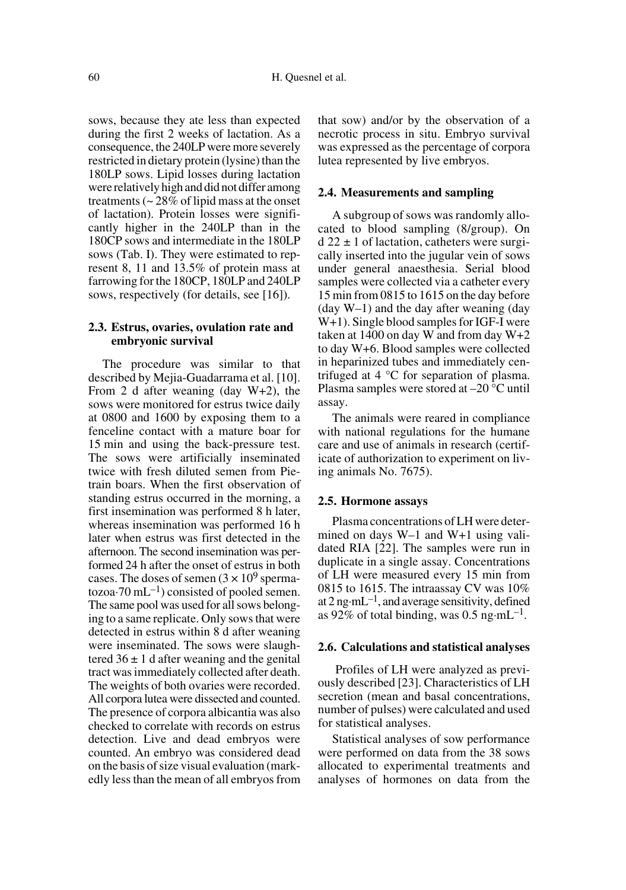sows, because they ate less than expected during the first 2 weeks of lactation. As a consequence, the 240LP were more severely restricted in dietary protein (lysine) than the 180LP sows. Lipid losses during lactation were relatively high and did not differ among treatments (~ 28% of lipid mass at the onset of lactation). Protein losses were significantly higher in the 240LP than in the 180CP sows and intermediate in the 180LP sows (Tab. I). They were estimated to represent 8, 11 and 13.5% of protein mass at farrowing for the 180CP, 180LP and 240LP sows, respectively (for details, see [16]).

### **2.3. Estrus, ovaries, ovulation rate and embryonic survival**

The procedure was similar to that described by Mejia-Guadarrama et al. [10]. From 2 d after weaning (day W+2), the sows were monitored for estrus twice daily at 0800 and 1600 by exposing them to a fenceline contact with a mature boar for 15 min and using the back-pressure test. The sows were artificially inseminated twice with fresh diluted semen from Pietrain boars. When the first observation of standing estrus occurred in the morning, a first insemination was performed 8 h later, whereas insemination was performed 16 h later when estrus was first detected in the afternoon. The second insemination was performed 24 h after the onset of estrus in both cases. The doses of semen  $(3 \times 10^9$  spermatozoa $\cdot$ 70 mL<sup>-1</sup>) consisted of pooled semen. The same pool was used for all sows belonging to a same replicate. Only sows that were detected in estrus within 8 d after weaning were inseminated. The sows were slaughtered  $36 \pm 1$  d after weaning and the genital tract was immediately collected after death. The weights of both ovaries were recorded. All corpora lutea were dissected and counted. The presence of corpora albicantia was also checked to correlate with records on estrus detection. Live and dead embryos were counted. An embryo was considered dead on the basis of size visual evaluation (markedly less than the mean of all embryos from that sow) and/or by the observation of a necrotic process in situ. Embryo survival was expressed as the percentage of corpora lutea represented by live embryos.

#### **2.4. Measurements and sampling**

A subgroup of sows was randomly allocated to blood sampling (8/group). On  $d$  22  $\pm$  1 of lactation, catheters were surgically inserted into the jugular vein of sows under general anaesthesia. Serial blood samples were collected via a catheter every 15 min from 0815 to 1615 on the day before (day W–1) and the day after weaning (day W+1). Single blood samples for IGF-I were taken at 1400 on day W and from day W+2 to day W+6. Blood samples were collected in heparinized tubes and immediately centrifuged at 4 °C for separation of plasma. Plasma samples were stored at –20 °C until assay.

The animals were reared in compliance with national regulations for the humane care and use of animals in research (certificate of authorization to experiment on living animals No. 7675).

#### **2.5. Hormone assays**

Plasma concentrations of LH were determined on days W–1 and W+1 using validated RIA [22]. The samples were run in duplicate in a single assay. Concentrations of LH were measured every 15 min from 0815 to 1615. The intraassay CV was 10% at  $2 \text{ ng} \cdot \text{m} L^{-1}$ , and average sensitivity, defined as 92% of total binding, was 0.5 ng·mL<sup>-1</sup>.

#### **2.6. Calculations and statistical analyses**

 Profiles of LH were analyzed as previously described [23]. Characteristics of LH secretion (mean and basal concentrations, number of pulses) were calculated and used for statistical analyses.

Statistical analyses of sow performance were performed on data from the 38 sows allocated to experimental treatments and analyses of hormones on data from the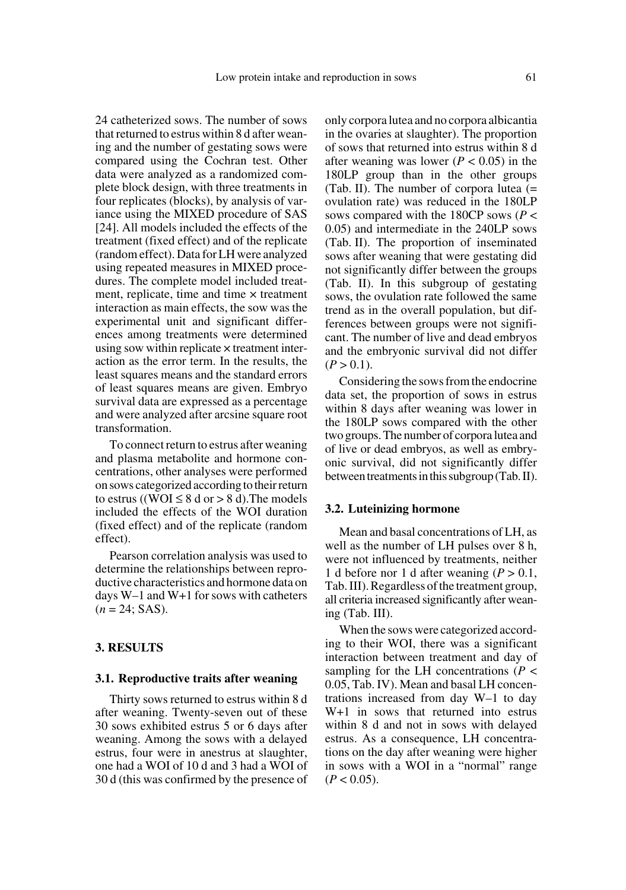24 catheterized sows. The number of sows that returned to estrus within 8 d after weaning and the number of gestating sows were compared using the Cochran test. Other data were analyzed as a randomized complete block design, with three treatments in four replicates (blocks), by analysis of variance using the MIXED procedure of SAS [24]. All models included the effects of the treatment (fixed effect) and of the replicate (random effect). Data for LH were analyzed using repeated measures in MIXED procedures. The complete model included treatment, replicate, time and time  $\times$  treatment interaction as main effects, the sow was the experimental unit and significant differences among treatments were determined using sow within replicate × treatment interaction as the error term. In the results, the least squares means and the standard errors of least squares means are given. Embryo survival data are expressed as a percentage and were analyzed after arcsine square root transformation.

To connect return to estrus after weaning and plasma metabolite and hormone concentrations, other analyses were performed on sows categorized according to their return to estrus ((WOI  $\leq$  8 d or  $>$  8 d). The models included the effects of the WOI duration (fixed effect) and of the replicate (random effect).

Pearson correlation analysis was used to determine the relationships between reproductive characteristics and hormone data on days W–1 and W+1 for sows with catheters  $(n = 24; SAS).$ 

## **3. RESULTS**

#### **3.1. Reproductive traits after weaning**

Thirty sows returned to estrus within 8 d after weaning. Twenty-seven out of these 30 sows exhibited estrus 5 or 6 days after weaning. Among the sows with a delayed estrus, four were in anestrus at slaughter, one had a WOI of 10 d and 3 had a WOI of 30 d (this was confirmed by the presence of only corpora lutea and no corpora albicantia in the ovaries at slaughter). The proportion of sows that returned into estrus within 8 d after weaning was lower  $(P < 0.05)$  in the 180LP group than in the other groups (Tab. II). The number of corpora lutea (= ovulation rate) was reduced in the 180LP sows compared with the 180CP sows (*P* < 0.05) and intermediate in the 240LP sows (Tab. II). The proportion of inseminated sows after weaning that were gestating did not significantly differ between the groups (Tab. II). In this subgroup of gestating sows, the ovulation rate followed the same trend as in the overall population, but differences between groups were not significant. The number of live and dead embryos and the embryonic survival did not differ  $(P > 0.1)$ .

Considering the sows from the endocrine data set, the proportion of sows in estrus within 8 days after weaning was lower in the 180LP sows compared with the other two groups. The number of corpora lutea and of live or dead embryos, as well as embryonic survival, did not significantly differ between treatments in this subgroup (Tab. II).

#### **3.2. Luteinizing hormone**

Mean and basal concentrations of LH, as well as the number of LH pulses over 8 h, were not influenced by treatments, neither 1 d before nor 1 d after weaning  $(P > 0.1$ , Tab. III). Regardless of the treatment group, all criteria increased significantly after weaning (Tab. III).

When the sows were categorized according to their WOI, there was a significant interaction between treatment and day of sampling for the LH concentrations (*P* < 0.05, Tab. IV). Mean and basal LH concentrations increased from day W–1 to day W+1 in sows that returned into estrus within 8 d and not in sows with delayed estrus. As a consequence, LH concentrations on the day after weaning were higher in sows with a WOI in a "normal" range  $(P < 0.05)$ .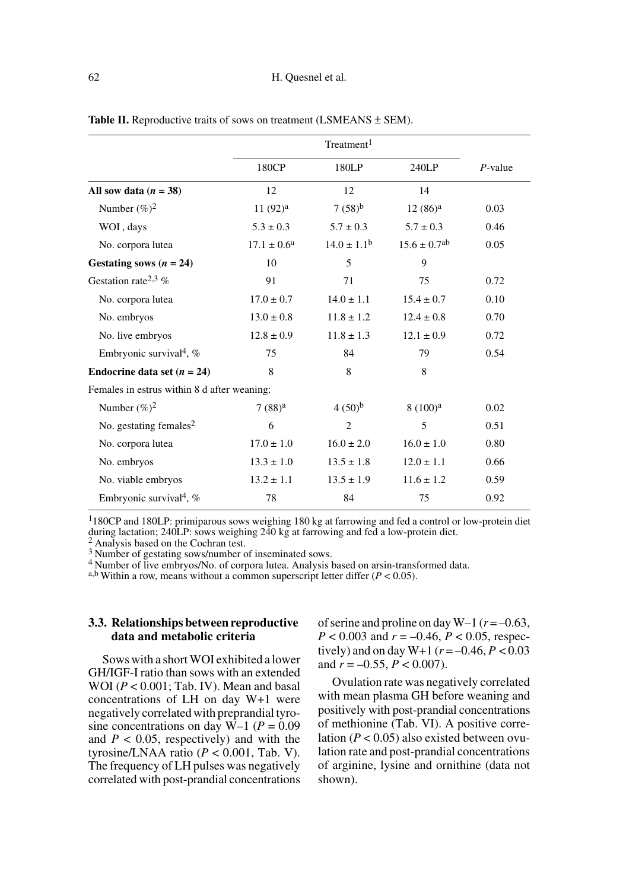|                                             | 180CP                     | 180LP            | 240LP                        | $P$ -value |
|---------------------------------------------|---------------------------|------------------|------------------------------|------------|
| All sow data $(n = 38)$                     | 12                        | 12               | 14                           |            |
| Number $(\%)^2$                             | $11(92)^a$                | $7(58)^{b}$      | $12(86)^a$                   | 0.03       |
| WOI, days                                   | $5.3 \pm 0.3$             | $5.7 \pm 0.3$    | $5.7 \pm 0.3$                | 0.46       |
| No. corpora lutea                           | $17.1 \pm 0.6^{\text{a}}$ | $14.0 \pm 1.1^b$ | $15.6 \pm 0.7$ <sup>ab</sup> | 0.05       |
| Gestating sows $(n = 24)$                   | 10                        | 5                | 9                            |            |
| Gestation rate <sup>2,3</sup> %             | 91                        | 71               | 75                           | 0.72       |
| No. corpora lutea                           | $17.0 \pm 0.7$            | $14.0 \pm 1.1$   | $15.4 \pm 0.7$               | 0.10       |
| No. embryos                                 | $13.0 \pm 0.8$            | $11.8 \pm 1.2$   | $12.4 \pm 0.8$               | 0.70       |
| No. live embryos                            | $12.8 \pm 0.9$            | $11.8 \pm 1.3$   | $12.1 \pm 0.9$               | 0.72       |
| Embryonic survival <sup>4</sup> , $%$       | 75                        | 84               | 79                           | 0.54       |
| Endocrine data set $(n = 24)$               | 8                         | 8                | 8                            |            |
| Females in estrus within 8 d after weaning: |                           |                  |                              |            |
| Number $(\%)^2$                             | $7(88)^a$                 | $(50)^{b}$       | 8(100) <sup>a</sup>          | 0.02       |
| No. gestating females <sup>2</sup>          | 6                         | $\overline{c}$   | 5                            | 0.51       |
| No. corpora lutea                           | $17.0 \pm 1.0$            | $16.0 \pm 2.0$   | $16.0 \pm 1.0$               | 0.80       |
| No. embryos                                 | $13.3 \pm 1.0$            | $13.5 \pm 1.8$   | $12.0 \pm 1.1$               | 0.66       |
| No. viable embryos                          | $13.2 \pm 1.1$            | $13.5 \pm 1.9$   | $11.6 \pm 1.2$               | 0.59       |
| Embryonic survival <sup>4</sup> , $%$       | 78                        | 84               | 75                           | 0.92       |

Table II. Reproductive traits of sows on treatment (LSMEANS  $\pm$  SEM).

1180CP and 180LP: primiparous sows weighing 180 kg at farrowing and fed a control or low-protein diet during lactation; 240LP: sows weighing 240 kg at farrowing and fed a low-protein diet.  $\frac{2}{3}$  Analysis based on the Cochran test.

3 Number of gestating sows/number of inseminated sows.

4 Number of live embryos/No. of corpora lutea. Analysis based on arsin-transformed data. a,b Within a row, means without a common superscript letter differ (*P* < 0.05).

## **3.3. Relationships between reproductive data and metabolic criteria**

Sows with a short WOI exhibited a lower GH/IGF-I ratio than sows with an extended WOI (*P* < 0.001; Tab. IV). Mean and basal concentrations of LH on day W+1 were negatively correlated with preprandial tyrosine concentrations on day  $W-1$  ( $P = 0.09$ ) and  $P < 0.05$ , respectively) and with the tyrosine/LNAA ratio (*P* < 0.001, Tab. V). The frequency of LH pulses was negatively correlated with post-prandial concentrations of serine and proline on day  $W-1$  ( $r = -0.63$ , *P* < 0.003 and *r* = –0.46, *P* < 0.05, respectively) and on day W+1 ( $r = -0.46, P < 0.03$ and  $r = -0.55$ ,  $P < 0.007$ ).

Ovulation rate was negatively correlated with mean plasma GH before weaning and positively with post-prandial concentrations of methionine (Tab. VI). A positive correlation  $(P < 0.05)$  also existed between ovulation rate and post-prandial concentrations of arginine, lysine and ornithine (data not shown).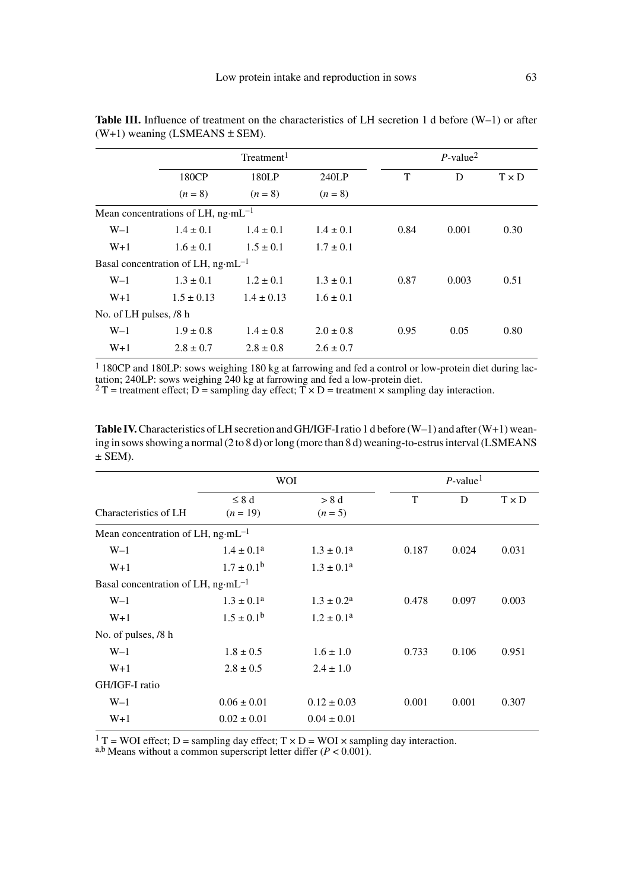|                        |                                               | Treatment <sup>1</sup> |               |      | $P$ -value <sup>2</sup> |              |  |
|------------------------|-----------------------------------------------|------------------------|---------------|------|-------------------------|--------------|--|
|                        | 180CP                                         | 180LP                  | 240LP         | T    | D                       | $T \times D$ |  |
|                        | $(n = 8)$                                     | $(n = 8)$              | $(n = 8)$     |      |                         |              |  |
|                        | Mean concentrations of LH, $ng·mL^{-1}$       |                        |               |      |                         |              |  |
| $W-1$                  | $1.4 \pm 0.1$                                 | $1.4 \pm 0.1$          | $1.4 \pm 0.1$ | 0.84 | 0.001                   | 0.30         |  |
| $W+1$                  | $1.6 \pm 0.1$                                 | $1.5 \pm 0.1$          | $1.7 \pm 0.1$ |      |                         |              |  |
|                        | Basal concentration of LH, $ng \cdot mL^{-1}$ |                        |               |      |                         |              |  |
| $W-1$                  | $1.3 \pm 0.1$                                 | $1.2 \pm 0.1$          | $1.3 \pm 0.1$ | 0.87 | 0.003                   | 0.51         |  |
| $W+1$                  | $1.5 \pm 0.13$                                | $1.4 \pm 0.13$         | $1.6 \pm 0.1$ |      |                         |              |  |
| No. of LH pulses, /8 h |                                               |                        |               |      |                         |              |  |
| $W-1$                  | $1.9 \pm 0.8$                                 | $1.4 \pm 0.8$          | $2.0 \pm 0.8$ | 0.95 | 0.05                    | 0.80         |  |
| $W+1$                  | $2.8 \pm 0.7$                                 | $2.8 \pm 0.8$          | $2.6 \pm 0.7$ |      |                         |              |  |

Table III. Influence of treatment on the characteristics of LH secretion 1 d before (W-1) or after  $(W+1)$  weaning (LSMEANS  $\pm$  SEM).

1 180CP and 180LP: sows weighing 180 kg at farrowing and fed a control or low-protein diet during lactation; 240LP: sows weighing 240 kg at farrowing and fed a low-protein diet.<br><sup>2</sup> T = treatment effect; D = sampling day effect; T × D = treatment × sampling day interaction.

**Table IV.** Characteristics of LH secretion and GH/IGF-I ratio 1 d before (W–1) and after (W+1) weaning in sows showing a normal (2 to 8 d) or long (more than 8 d) weaning-to-estrus interval (LSMEANS  $±$  SEM).

|                                               | WOI                   | $P$ -value <sup>1</sup> |       |       |              |
|-----------------------------------------------|-----------------------|-------------------------|-------|-------|--------------|
|                                               |                       |                         |       |       |              |
|                                               | $\leq 8$ d            | > 8 d                   | T     | D     | $T \times D$ |
| Characteristics of LH                         | $(n = 19)$            | $(n=5)$                 |       |       |              |
| Mean concentration of LH, ng·mL <sup>-1</sup> |                       |                         |       |       |              |
| $W-1$                                         | $1.4 \pm 0.1^a$       | $1.3 \pm 0.1^a$         | 0.187 | 0.024 | 0.031        |
| $W+1$                                         | $1.7 \pm 0.1^{\rm b}$ | $1.3 \pm 0.1^a$         |       |       |              |
| Basal concentration of LH, $ng\cdot mL^{-1}$  |                       |                         |       |       |              |
| $W-1$                                         | $1.3 \pm 0.1^a$       | $1.3 \pm 0.2^{\rm a}$   | 0.478 | 0.097 | 0.003        |
| $W+1$                                         | $1.5 \pm 0.1^{\rm b}$ | $1.2 \pm 0.1^a$         |       |       |              |
| No. of pulses, /8 h                           |                       |                         |       |       |              |
| $W-1$                                         | $1.8 \pm 0.5$         | $1.6 \pm 1.0$           | 0.733 | 0.106 | 0.951        |
| $W+1$                                         | $2.8 \pm 0.5$         | $2.4 \pm 1.0$           |       |       |              |
| GH/IGF-I ratio                                |                       |                         |       |       |              |
| $W-1$                                         | $0.06 \pm 0.01$       | $0.12 \pm 0.03$         | 0.001 | 0.001 | 0.307        |
| $W+1$                                         | $0.02 \pm 0.01$       | $0.04 \pm 0.01$         |       |       |              |
|                                               |                       |                         |       |       |              |

<sup>1</sup> T = WOI effect; D = sampling day effect; T  $\times$  D = WOI  $\times$  sampling day interaction.

a,b Means without a common superscript letter differ  $(P < 0.001)$ .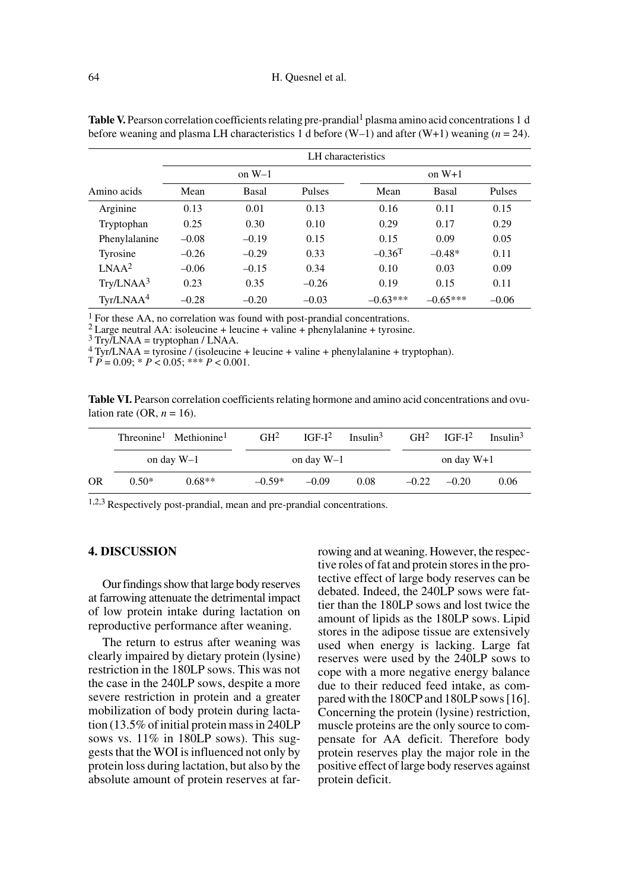|                       | LH characteristics |         |         |                      |            |         |  |
|-----------------------|--------------------|---------|---------|----------------------|------------|---------|--|
|                       | on $W-1$           |         |         |                      |            |         |  |
| Amino acids           | Mean               | Basal   | Pulses  | Mean                 | Basal      | Pulses  |  |
| Arginine              | 0.13               | 0.01    | 0.13    | 0.16                 | 0.11       | 0.15    |  |
| Tryptophan            | 0.25               | 0.30    | 0.10    | 0.29                 | 0.17       | 0.29    |  |
| Phenylalanine         | $-0.08$            | $-0.19$ | 0.15    | 0.15                 | 0.09       | 0.05    |  |
| Tyrosine              | $-0.26$            | $-0.29$ | 0.33    | $-0.36$ <sup>T</sup> | $-0.48*$   | 0.11    |  |
| LNAA <sup>2</sup>     | $-0.06$            | $-0.15$ | 0.34    | 0.10                 | 0.03       | 0.09    |  |
| Try/LNAA <sup>3</sup> | 0.23               | 0.35    | $-0.26$ | 0.19                 | 0.15       | 0.11    |  |
| Tyr/LNAA <sup>4</sup> | $-0.28$            | $-0.20$ | $-0.03$ | $-0.63***$           | $-0.65***$ | $-0.06$ |  |

**Table V.** Pearson correlation coefficients relating pre-prandial<sup>1</sup> plasma amino acid concentrations 1 d before weaning and plasma LH characteristics 1 d before  $(W-1)$  and after  $(W+1)$  weaning  $(n = 24)$ .

<sup>1</sup> For these AA, no correlation was found with post-prandial concentrations.

<sup>2</sup> Large neutral AA: isoleucine + leucine + valine + phenylalanine + tyrosine.  $\frac{3 \text{ Try/LNAA}}{2}$  Try/LNAA = tryptophan / LNAA.

4 Tyr/LNAA = tyrosine / (isoleucine + leucine + valine + phenylalanine + tryptophan).

 $\overline{P} = 0.09$ ;  $\overline{P}$   $\leq 0.05$ ;  $\overline{P}$   $\leq 0.001$ .

Table VI. Pearson correlation coefficients relating hormone and amino acid concentrations and ovulation rate (OR,  $n = 16$ ).

|           |              | Threonine <sup>1</sup> Methionine <sup>1</sup> | GH <sup>2</sup> | $IGF-I2$ | Insulin <sup>3</sup> | GH <sup>2</sup> | $IGF-I^2$    | Insulin <sup>3</sup> |  |
|-----------|--------------|------------------------------------------------|-----------------|----------|----------------------|-----------------|--------------|----------------------|--|
|           | on day $W-1$ |                                                | on day W-1      |          |                      |                 | on day $W+1$ |                      |  |
| <b>OR</b> | $0.50*$      | $0.68**$                                       | $-0.59*$        | $-0.09$  | 0.08                 | $-0.22$         | $-0.20$      | 0.06                 |  |

1,2,3 Respectively post-prandial, mean and pre-prandial concentrations.

#### **4. DISCUSSION**

Our findings show that large body reserves at farrowing attenuate the detrimental impact of low protein intake during lactation on reproductive performance after weaning.

The return to estrus after weaning was clearly impaired by dietary protein (lysine) restriction in the 180LP sows. This was not the case in the 240LP sows, despite a more severe restriction in protein and a greater mobilization of body protein during lactation (13.5% of initial protein mass in 240LP sows vs. 11% in 180LP sows). This suggests that the WOI is influenced not only by protein loss during lactation, but also by the absolute amount of protein reserves at farrowing and at weaning. However, the respective roles of fat and protein stores in the protective effect of large body reserves can be debated. Indeed, the 240LP sows were fattier than the 180LP sows and lost twice the amount of lipids as the 180LP sows. Lipid stores in the adipose tissue are extensively used when energy is lacking. Large fat reserves were used by the 240LP sows to cope with a more negative energy balance due to their reduced feed intake, as compared with the 180CP and 180LP sows [16]. Concerning the protein (lysine) restriction, muscle proteins are the only source to compensate for AA deficit. Therefore body protein reserves play the major role in the positive effect of large body reserves against protein deficit.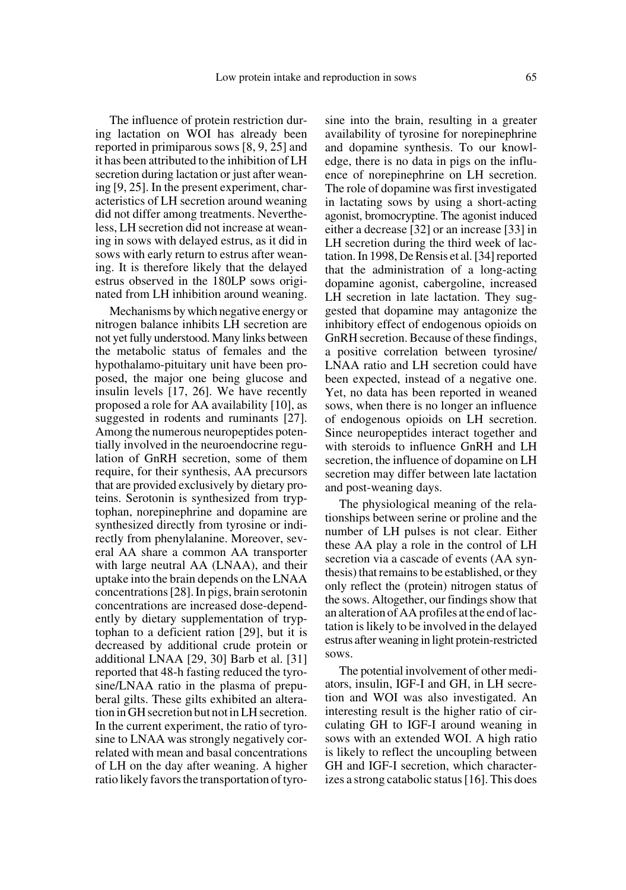The influence of protein restriction during lactation on WOI has already been reported in primiparous sows [8, 9, 25] and it has been attributed to the inhibition of LH secretion during lactation or just after weaning [9, 25]. In the present experiment, characteristics of LH secretion around weaning did not differ among treatments. Nevertheless, LH secretion did not increase at weaning in sows with delayed estrus, as it did in sows with early return to estrus after weaning. It is therefore likely that the delayed estrus observed in the 180LP sows originated from LH inhibition around weaning.

Mechanisms by which negative energy or nitrogen balance inhibits LH secretion are not yet fully understood. Many links between the metabolic status of females and the hypothalamo-pituitary unit have been proposed, the major one being glucose and insulin levels [17, 26]. We have recently proposed a role for AA availability [10], as suggested in rodents and ruminants [27]. Among the numerous neuropeptides potentially involved in the neuroendocrine regulation of GnRH secretion, some of them require, for their synthesis, AA precursors that are provided exclusively by dietary proteins. Serotonin is synthesized from tryptophan, norepinephrine and dopamine are synthesized directly from tyrosine or indirectly from phenylalanine. Moreover, several AA share a common AA transporter with large neutral AA (LNAA), and their uptake into the brain depends on the LNAA concentrations [28]. In pigs, brain serotonin concentrations are increased dose-dependently by dietary supplementation of tryptophan to a deficient ration [29], but it is decreased by additional crude protein or additional LNAA [29, 30] Barb et al. [31] reported that 48-h fasting reduced the tyrosine/LNAA ratio in the plasma of prepuberal gilts. These gilts exhibited an alteration in GH secretion but not in LH secretion. In the current experiment, the ratio of tyrosine to LNAA was strongly negatively correlated with mean and basal concentrations of LH on the day after weaning. A higher ratio likely favors the transportation of tyrosine into the brain, resulting in a greater availability of tyrosine for norepinephrine and dopamine synthesis. To our knowledge, there is no data in pigs on the influence of norepinephrine on LH secretion. The role of dopamine was first investigated in lactating sows by using a short-acting agonist, bromocryptine. The agonist induced either a decrease [32] or an increase [33] in LH secretion during the third week of lactation. In 1998, De Rensis et al. [34] reported that the administration of a long-acting dopamine agonist, cabergoline, increased LH secretion in late lactation. They suggested that dopamine may antagonize the inhibitory effect of endogenous opioids on GnRH secretion. Because of these findings, a positive correlation between tyrosine/ LNAA ratio and LH secretion could have been expected, instead of a negative one. Yet, no data has been reported in weaned sows, when there is no longer an influence of endogenous opioids on LH secretion. Since neuropeptides interact together and with steroids to influence GnRH and LH secretion, the influence of dopamine on LH secretion may differ between late lactation and post-weaning days.

The physiological meaning of the relationships between serine or proline and the number of LH pulses is not clear. Either these AA play a role in the control of LH secretion via a cascade of events (AA synthesis) that remains to be established, or they only reflect the (protein) nitrogen status of the sows. Altogether, our findings show that an alteration of AA profiles at the end of lactation is likely to be involved in the delayed estrus after weaning in light protein-restricted sows.

The potential involvement of other mediators, insulin, IGF-I and GH, in LH secretion and WOI was also investigated. An interesting result is the higher ratio of circulating GH to IGF-I around weaning in sows with an extended WOI. A high ratio is likely to reflect the uncoupling between GH and IGF-I secretion, which characterizes a strong catabolic status [16]. This does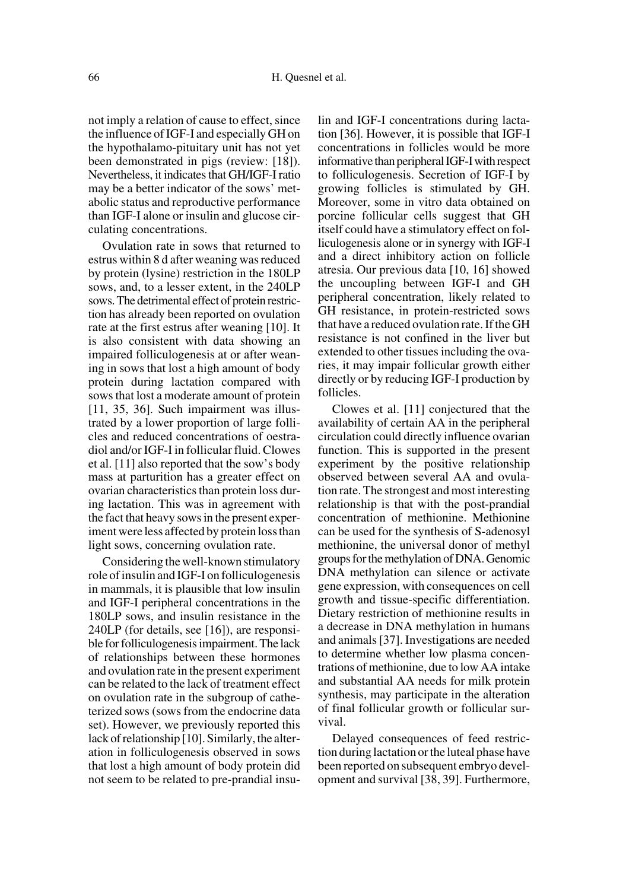not imply a relation of cause to effect, since the influence of IGF-I and especially GH on the hypothalamo-pituitary unit has not yet been demonstrated in pigs (review: [18]). Nevertheless, it indicates that GH/IGF-I ratio may be a better indicator of the sows' metabolic status and reproductive performance than IGF-I alone or insulin and glucose circulating concentrations.

Ovulation rate in sows that returned to estrus within 8 d after weaning was reduced by protein (lysine) restriction in the 180LP sows, and, to a lesser extent, in the 240LP sows. The detrimental effect of protein restriction has already been reported on ovulation rate at the first estrus after weaning [10]. It is also consistent with data showing an impaired folliculogenesis at or after weaning in sows that lost a high amount of body protein during lactation compared with sows that lost a moderate amount of protein [11, 35, 36]. Such impairment was illustrated by a lower proportion of large follicles and reduced concentrations of oestradiol and/or IGF-I in follicular fluid. Clowes et al. [11] also reported that the sow's body mass at parturition has a greater effect on ovarian characteristics than protein loss during lactation. This was in agreement with the fact that heavy sows in the present experiment were less affected by protein loss than light sows, concerning ovulation rate.

Considering the well-known stimulatory role of insulin and IGF-I on folliculogenesis in mammals, it is plausible that low insulin and IGF-I peripheral concentrations in the 180LP sows, and insulin resistance in the 240LP (for details, see [16]), are responsible for folliculogenesis impairment. The lack of relationships between these hormones and ovulation rate in the present experiment can be related to the lack of treatment effect on ovulation rate in the subgroup of catheterized sows (sows from the endocrine data set). However, we previously reported this lack of relationship [10]. Similarly, the alteration in folliculogenesis observed in sows that lost a high amount of body protein did not seem to be related to pre-prandial insulin and IGF-I concentrations during lactation [36]. However, it is possible that IGF-I concentrations in follicles would be more informative than peripheral IGF-I with respect to folliculogenesis. Secretion of IGF-I by growing follicles is stimulated by GH. Moreover, some in vitro data obtained on porcine follicular cells suggest that GH itself could have a stimulatory effect on folliculogenesis alone or in synergy with IGF-I and a direct inhibitory action on follicle atresia. Our previous data [10, 16] showed the uncoupling between IGF-I and GH peripheral concentration, likely related to GH resistance, in protein-restricted sows that have a reduced ovulation rate. If the GH resistance is not confined in the liver but extended to other tissues including the ovaries, it may impair follicular growth either directly or by reducing IGF-I production by follicles.

Clowes et al. [11] conjectured that the availability of certain AA in the peripheral circulation could directly influence ovarian function. This is supported in the present experiment by the positive relationship observed between several AA and ovulation rate. The strongest and most interesting relationship is that with the post-prandial concentration of methionine. Methionine can be used for the synthesis of S-adenosyl methionine, the universal donor of methyl groups for the methylation of DNA. Genomic DNA methylation can silence or activate gene expression, with consequences on cell growth and tissue-specific differentiation. Dietary restriction of methionine results in a decrease in DNA methylation in humans and animals [37]. Investigations are needed to determine whether low plasma concentrations of methionine, due to low AA intake and substantial AA needs for milk protein synthesis, may participate in the alteration of final follicular growth or follicular survival.

Delayed consequences of feed restriction during lactation or the luteal phase have been reported on subsequent embryo development and survival [38, 39]. Furthermore,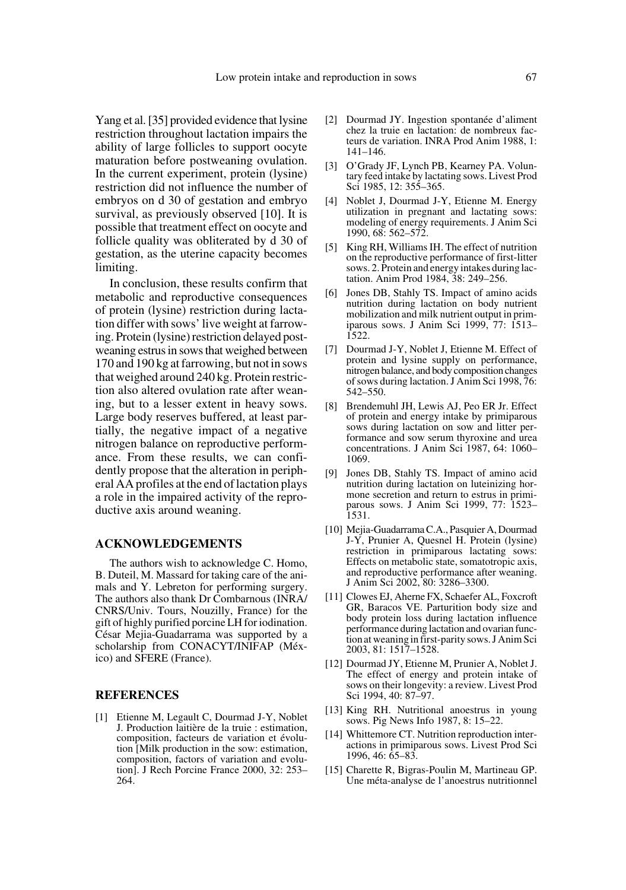Yang et al. [35] provided evidence that lysine restriction throughout lactation impairs the ability of large follicles to support oocyte maturation before postweaning ovulation. In the current experiment, protein (lysine) restriction did not influence the number of embryos on d 30 of gestation and embryo survival, as previously observed [10]. It is possible that treatment effect on oocyte and follicle quality was obliterated by d 30 of gestation, as the uterine capacity becomes limiting.

In conclusion, these results confirm that metabolic and reproductive consequences of protein (lysine) restriction during lactation differ with sows' live weight at farrowing. Protein (lysine) restriction delayed postweaning estrus in sows that weighed between 170 and 190 kg at farrowing, but not in sows that weighed around 240 kg. Protein restriction also altered ovulation rate after weaning, but to a lesser extent in heavy sows. Large body reserves buffered, at least partially, the negative impact of a negative nitrogen balance on reproductive performance. From these results, we can confidently propose that the alteration in peripheral AA profiles at the end of lactation plays a role in the impaired activity of the reproductive axis around weaning.

## **ACKNOWLEDGEMENTS**

The authors wish to acknowledge C. Homo, B. Duteil, M. Massard for taking care of the animals and Y. Lebreton for performing surgery. The authors also thank Dr Combarnous (INRA/ CNRS/Univ. Tours, Nouzilly, France) for the gift of highly purified porcine LH for iodination. César Mejia-Guadarrama was supported by a scholarship from CONACYT/INIFAP (México) and SFERE (France).

## **REFERENCES**

[1] Etienne M, Legault C, Dourmad J-Y, Noblet J. Production laitière de la truie : estimation, composition, facteurs de variation et évolution [Milk production in the sow: estimation, composition, factors of variation and evolution]. J Rech Porcine France 2000, 32: 253– 264.

- [2] Dourmad JY. Ingestion spontanée d'aliment chez la truie en lactation: de nombreux facteurs de variation. INRA Prod Anim 1988, 1: 141–146.
- [3] O'Grady JF, Lynch PB, Kearney PA. Voluntary feed intake by lactating sows. Livest Prod Sci 1985, 12: 355–365.
- [4] Noblet J, Dourmad J-Y, Etienne M. Energy utilization in pregnant and lactating sows: modeling of energy requirements. J Anim Sci 1990, 68: 562–572.
- [5] King RH, Williams IH. The effect of nutrition on the reproductive performance of first-litter sows. 2. Protein and energy intakes during lactation. Anim Prod 1984, 38: 249–256.
- [6] Jones DB, Stahly TS. Impact of amino acids nutrition during lactation on body nutrient mobilization and milk nutrient output in primiparous sows. J Anim Sci 1999, 77: 1513– 1522.
- [7] Dourmad J-Y, Noblet J, Etienne M. Effect of protein and lysine supply on performance, nitrogen balance, and body composition changes of sows during lactation. J Anim Sci 1998, 76: 542–550.
- [8] Brendemuhl JH, Lewis AJ, Peo ER Jr. Effect of protein and energy intake by primiparous sows during lactation on sow and litter performance and sow serum thyroxine and urea concentrations. J Anim Sci 1987, 64: 1060– 1069.
- [9] Jones DB, Stahly TS. Impact of amino acid nutrition during lactation on luteinizing hormone secretion and return to estrus in primiparous sows. J Anim Sci 1999, 77: 1523– 1531.
- [10] Mejia-Guadarrama C.A., Pasquier A, Dourmad J-Y, Prunier A, Quesnel H. Protein (lysine) restriction in primiparous lactating sows: Effects on metabolic state, somatotropic axis, and reproductive performance after weaning. J Anim Sci 2002, 80: 3286–3300.
- [11] Clowes EJ, Aherne FX, Schaefer AL, Foxcroft GR, Baracos VE. Parturition body size and body protein loss during lactation influence performance during lactation and ovarian function at weaning in first-parity sows. J Anim Sci 2003, 81: 1517–1528.
- [12] Dourmad JY, Etienne M, Prunier A, Noblet J. The effect of energy and protein intake of sows on their longevity: a review. Livest Prod Sci 1994, 40: 87–97.
- [13] King RH. Nutritional anoestrus in young sows. Pig News Info 1987, 8: 15–22.
- [14] Whittemore CT. Nutrition reproduction interactions in primiparous sows. Livest Prod Sci 1996, 46: 65–83.
- [15] Charette R, Bigras-Poulin M, Martineau GP. Une méta-analyse de l'anoestrus nutritionnel